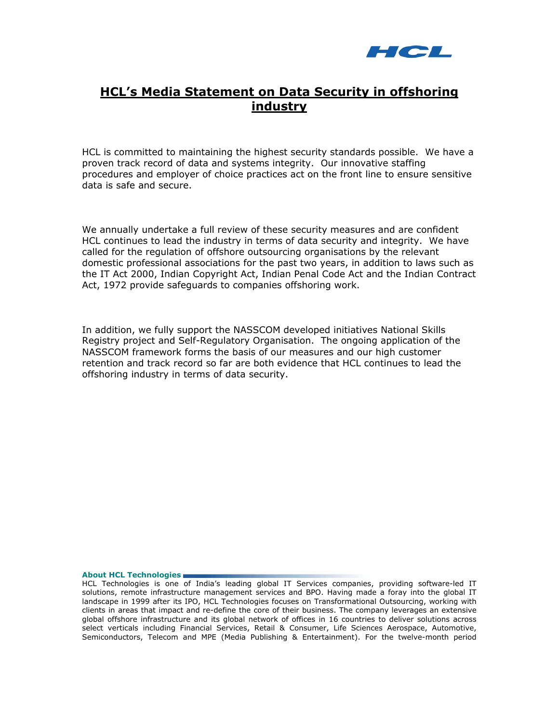

# **HCL's Media Statement on Data Security in offshoring industry**

HCL is committed to maintaining the highest security standards possible. We have a proven track record of data and systems integrity. Our innovative staffing procedures and employer of choice practices act on the front line to ensure sensitive data is safe and secure.

We annually undertake a full review of these security measures and are confident HCL continues to lead the industry in terms of data security and integrity. We have called for the regulation of offshore outsourcing organisations by the relevant domestic professional associations for the past two years, in addition to laws such as the IT Act 2000, Indian Copyright Act, Indian Penal Code Act and the Indian Contract Act, 1972 provide safeguards to companies offshoring work.

In addition, we fully support the NASSCOM developed initiatives National Skills Registry project and Self-Regulatory Organisation. The ongoing application of the NASSCOM framework forms the basis of our measures and our high customer retention and track record so far are both evidence that HCL continues to lead the offshoring industry in terms of data security.

**About HCL Technologies** 

HCL Technologies is one of India's leading global IT Services companies, providing software-led IT solutions, remote infrastructure management services and BPO. Having made a foray into the global IT landscape in 1999 after its IPO, HCL Technologies focuses on Transformational Outsourcing, working with clients in areas that impact and re-define the core of their business. The company leverages an extensive global offshore infrastructure and its global network of offices in 16 countries to deliver solutions across select verticals including Financial Services, Retail & Consumer, Life Sciences Aerospace, Automotive, Semiconductors, Telecom and MPE (Media Publishing & Entertainment). For the twelve-month period